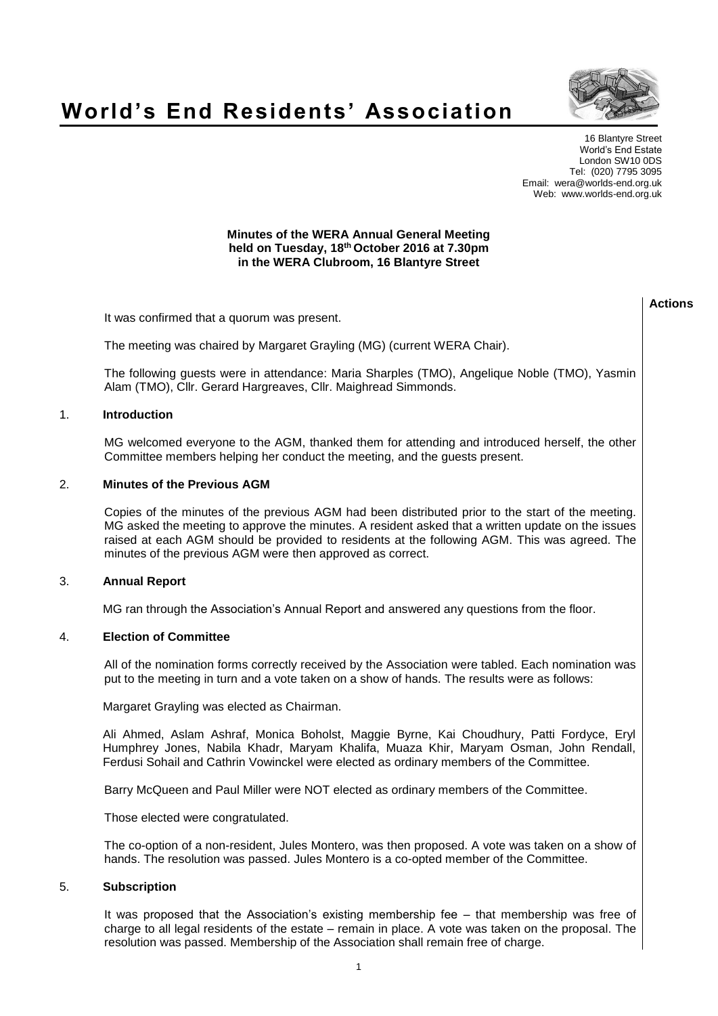## **World's End Residents' Association**



**Actions**

16 Blantyre Street World's End Estate London SW10 0DS Tel: (020) 7795 3095 Email: wera@worlds-end.org.uk Web: www.worlds-end.org.uk

## **Minutes of the WERA Annual General Meeting held on Tuesday, 18th October 2016 at 7.30pm in the WERA Clubroom, 16 Blantyre Street**

| It was confirmed that a quorum was present.                                                                                                                                                                                                                                                                                                                           |  |
|-----------------------------------------------------------------------------------------------------------------------------------------------------------------------------------------------------------------------------------------------------------------------------------------------------------------------------------------------------------------------|--|
| The meeting was chaired by Margaret Grayling (MG) (current WERA Chair).                                                                                                                                                                                                                                                                                               |  |
| The following guests were in attendance: Maria Sharples (TMO), Angelique Noble (TMO), Yasmin<br>Alam (TMO), Cllr. Gerard Hargreaves, Cllr. Maighread Simmonds.                                                                                                                                                                                                        |  |
| <b>Introduction</b>                                                                                                                                                                                                                                                                                                                                                   |  |
| MG welcomed everyone to the AGM, thanked them for attending and introduced herself, the other<br>Committee members helping her conduct the meeting, and the guests present.                                                                                                                                                                                           |  |
| <b>Minutes of the Previous AGM</b>                                                                                                                                                                                                                                                                                                                                    |  |
| Copies of the minutes of the previous AGM had been distributed prior to the start of the meeting.<br>MG asked the meeting to approve the minutes. A resident asked that a written update on the issues<br>raised at each AGM should be provided to residents at the following AGM. This was agreed. The<br>minutes of the previous AGM were then approved as correct. |  |
| <b>Annual Report</b>                                                                                                                                                                                                                                                                                                                                                  |  |
| MG ran through the Association's Annual Report and answered any questions from the floor.                                                                                                                                                                                                                                                                             |  |
| <b>Election of Committee</b>                                                                                                                                                                                                                                                                                                                                          |  |

4. **Election of Committee**

All of the nomination forms correctly received by the Association were tabled. Each nomination was put to the meeting in turn and a vote taken on a show of hands. The results were as follows:

Margaret Grayling was elected as Chairman.

Ali Ahmed, Aslam Ashraf, Monica Boholst, Maggie Byrne, Kai Choudhury, Patti Fordyce, Eryl Humphrey Jones, Nabila Khadr, Maryam Khalifa, Muaza Khir, Maryam Osman, John Rendall, Ferdusi Sohail and Cathrin Vowinckel were elected as ordinary members of the Committee.

Barry McQueen and Paul Miller were NOT elected as ordinary members of the Committee.

Those elected were congratulated.

The co-option of a non-resident, Jules Montero, was then proposed. A vote was taken on a show of hands. The resolution was passed. Jules Montero is a co-opted member of the Committee.

## 5. **Subscription**

1. **Introduction**

3. **Annual Report**

2. **Minutes of the Previous AGM**

It was proposed that the Association's existing membership fee – that membership was free of charge to all legal residents of the estate – remain in place. A vote was taken on the proposal. The resolution was passed. Membership of the Association shall remain free of charge.